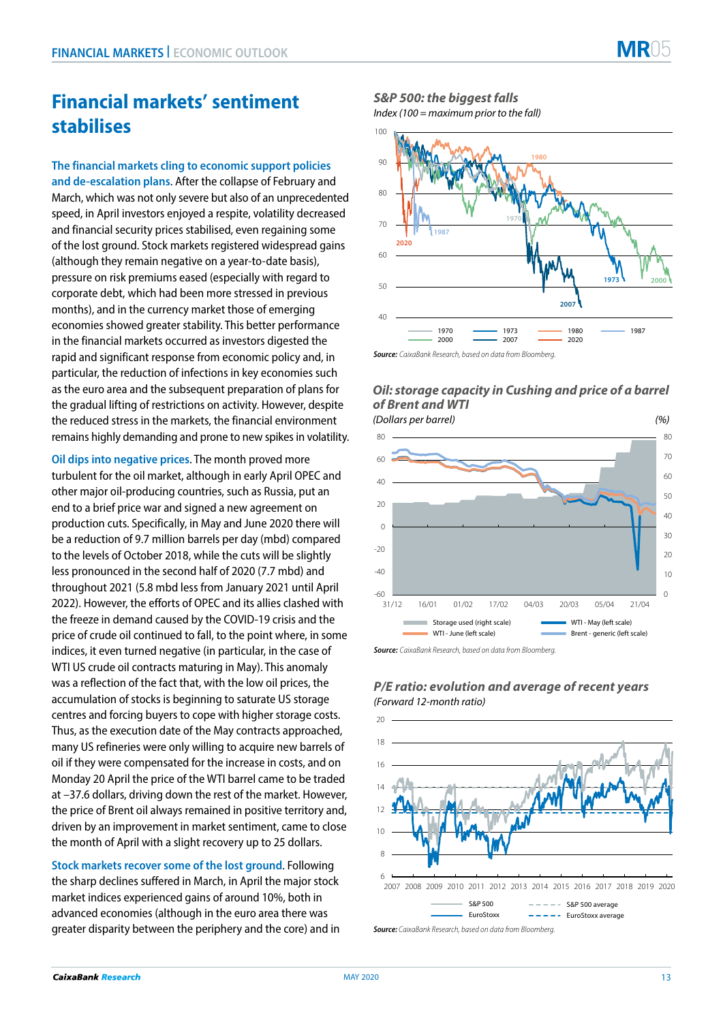# **Financial markets' sentiment stabilises**

**The financial markets cling to economic support policies and de-escalation plans**. After the collapse of February and March, which was not only severe but also of an unprecedented speed, in April investors enjoyed a respite, volatility decreased and financial security prices stabilised, even regaining some of the lost ground. Stock markets registered widespread gains (although they remain negative on a year-to-date basis), pressure on risk premiums eased (especially with regard to corporate debt, which had been more stressed in previous months), and in the currency market those of emerging economies showed greater stability. This better performance in the financial markets occurred as investors digested the rapid and significant response from economic policy and, in particular, the reduction of infections in key economies such as the euro area and the subsequent preparation of plans for the gradual lifting of restrictions on activity. However, despite the reduced stress in the markets, the financial environment remains highly demanding and prone to new spikes in volatility.

**Oil dips into negative prices**. The month proved more turbulent for the oil market, although in early April OPEC and other major oil-producing countries, such as Russia, put an end to a brief price war and signed a new agreement on production cuts. Specifically, in May and June 2020 there will be a reduction of 9.7 million barrels per day (mbd) compared to the levels of October 2018, while the cuts will be slightly less pronounced in the second half of 2020 (7.7 mbd) and throughout 2021 (5.8 mbd less from January 2021 until April 2022). However, the efforts of OPEC and its allies clashed with the freeze in demand caused by the COVID-19 crisis and the price of crude oil continued to fall, to the point where, in some indices, it even turned negative (in particular, in the case of WTI US crude oil contracts maturing in May). This anomaly was a reflection of the fact that, with the low oil prices, the accumulation of stocks is beginning to saturate US storage centres and forcing buyers to cope with higher storage costs. Thus, as the execution date of the May contracts approached, many US refineries were only willing to acquire new barrels of oil if they were compensated for the increase in costs, and on Monday 20 April the price of the WTI barrel came to be traded at –37.6 dollars, driving down the rest of the market. However, the price of Brent oil always remained in positive territory and, driven by an improvement in market sentiment, came to close the month of April with a slight recovery up to 25 dollars.

**Stock markets recover some of the lost ground**. Following the sharp declines suffered in March, in April the major stock market indices experienced gains of around 10%, both in advanced economies (although in the euro area there was greater disparity between the periphery and the core) and in

## *S&P 500: the biggest falls*

*Index (100 = maximum prior to the fall)*



#### *Oil: storage capacity in Cushing and price of a barrel of Brent and WTI*



*Source: CaixaBank Research, based on data from Bloomberg.*



### *P/E ratio: evolution and average of recent years (Forward 12-month ratio)*

*Source: CaixaBank Research, based on data from Bloomberg.*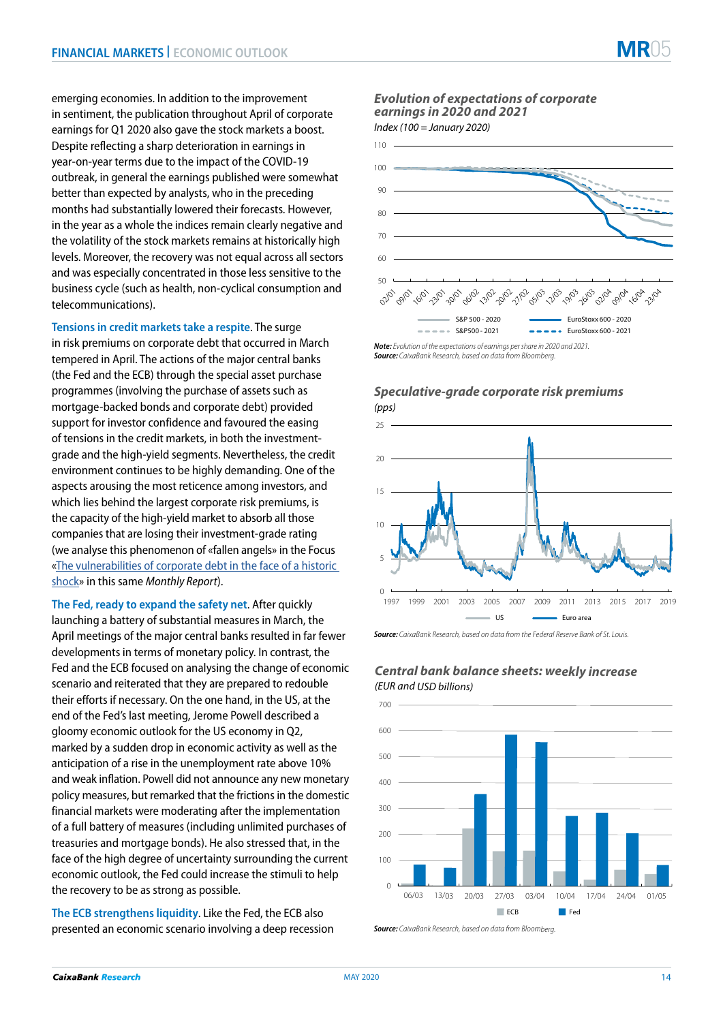emerging economies. In addition to the improvement in sentiment, the publication throughout April of corporate earnings for Q1 2020 also gave the stock markets a boost. Despite reflecting a sharp deterioration in earnings in year-on-year terms due to the impact of the COVID-19 outbreak, in general the earnings published were somewhat better than expected by analysts, who in the preceding months had substantially lowered their forecasts. However, in the year as a whole the indices remain clearly negative and the volatility of the stock markets remains at historically high levels. Moreover, the recovery was not equal across all sectors and was especially concentrated in those less sensitive to the business cycle (such as health, non-cyclical consumption and telecommunications).

**Tensions in credit markets take a respite**. The surge in risk premiums on corporate debt that occurred in March tempered in April. The actions of the major central banks (the Fed and the ECB) through the special asset purchase programmes (involving the purchase of assets such as mortgage-backed bonds and corporate debt) provided support for investor confidence and favoured the easing of tensions in the credit markets, in both the investmentgrade and the high-yield segments. Nevertheless, the credit environment continues to be highly demanding. One of the aspects arousing the most reticence among investors, and which lies behind the largest corporate risk premiums, is the capacity of the high-yield market to absorb all those companies that are losing their investment-grade rating (we analyse this phenomenon of «fallen angels» in the Focus [«The vulnerabilities of corporate debt in the face of a historic](https://www.caixabankresearch.com/en/vulnerabilities-corporate-debt-face-historic-shock)  [shock](https://www.caixabankresearch.com/en/vulnerabilities-corporate-debt-face-historic-shock)» in this same *Monthly Report*).

**The Fed, ready to expand the safety net**. After quickly launching a battery of substantial measures in March, the April meetings of the major central banks resulted in far fewer developments in terms of monetary policy. In contrast, the Fed and the ECB focused on analysing the change of economic scenario and reiterated that they are prepared to redouble their efforts if necessary. On the one hand, in the US, at the end of the Fed's last meeting, Jerome Powell described a gloomy economic outlook for the US economy in Q2, marked by a sudden drop in economic activity as well as the anticipation of a rise in the unemployment rate above 10% and weak inflation. Powell did not announce any new monetary policy measures, but remarked that the frictions in the domestic financial markets were moderating after the implementation of a full battery of measures (including unlimited purchases of treasuries and mortgage bonds). He also stressed that, in the face of the high degree of uncertainty surrounding the current economic outlook, the Fed could increase the stimuli to help the recovery to be as strong as possible.

**The ECB strengthens liquidity**. Like the Fed, the ECB also presented an economic scenario involving a deep recession *Evolution of expectations of corporate earnings in 2020 and 2021 Index (100 = January 2020)*



### *Speculative-grade corporate risk premiums (pps)*



*Source: CaixaBank Research, based on data from the Federal Reserve Bank of St. Louis.*



*Central bank balance sheets: weekly increase (EUR and USD billions)*

*Source: CaixaBank Research, based on data from Bloomberg.*